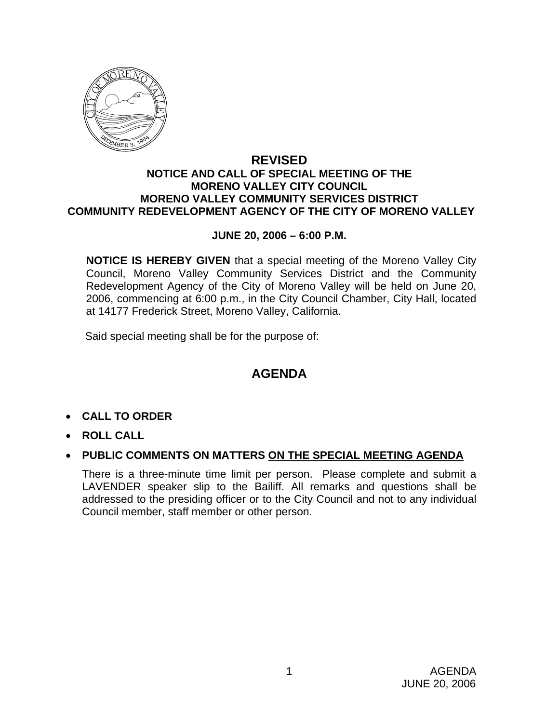

### **REVISED NOTICE AND CALL OF SPECIAL MEETING OF THE MORENO VALLEY CITY COUNCIL MORENO VALLEY COMMUNITY SERVICES DISTRICT COMMUNITY REDEVELOPMENT AGENCY OF THE CITY OF MORENO VALLEY**

### **JUNE 20, 2006 – 6:00 P.M.**

**NOTICE IS HEREBY GIVEN** that a special meeting of the Moreno Valley City Council, Moreno Valley Community Services District and the Community Redevelopment Agency of the City of Moreno Valley will be held on June 20, 2006, commencing at 6:00 p.m., in the City Council Chamber, City Hall, located at 14177 Frederick Street, Moreno Valley, California.

Said special meeting shall be for the purpose of:

# **AGENDA**

- **CALL TO ORDER**
- **ROLL CALL**
- **PUBLIC COMMENTS ON MATTERS ON THE SPECIAL MEETING AGENDA**

There is a three-minute time limit per person. Please complete and submit a LAVENDER speaker slip to the Bailiff. All remarks and questions shall be addressed to the presiding officer or to the City Council and not to any individual Council member, staff member or other person.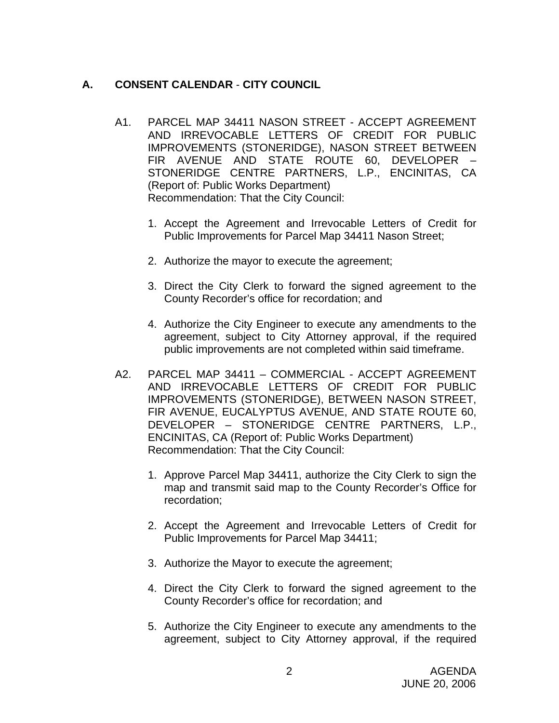## **A. CONSENT CALENDAR** - **CITY COUNCIL**

- A1. PARCEL MAP 34411 NASON STREET ACCEPT AGREEMENT AND IRREVOCABLE LETTERS OF CREDIT FOR PUBLIC IMPROVEMENTS (STONERIDGE), NASON STREET BETWEEN FIR AVENUE AND STATE ROUTE 60, DEVELOPER – STONERIDGE CENTRE PARTNERS, L.P., ENCINITAS, CA (Report of: Public Works Department) Recommendation: That the City Council:
	- 1. Accept the Agreement and Irrevocable Letters of Credit for Public Improvements for Parcel Map 34411 Nason Street;
	- 2. Authorize the mayor to execute the agreement;
	- 3. Direct the City Clerk to forward the signed agreement to the County Recorder's office for recordation; and
	- 4. Authorize the City Engineer to execute any amendments to the agreement, subject to City Attorney approval, if the required public improvements are not completed within said timeframe.
- A2. PARCEL MAP 34411 COMMERCIAL ACCEPT AGREEMENT AND IRREVOCABLE LETTERS OF CREDIT FOR PUBLIC IMPROVEMENTS (STONERIDGE), BETWEEN NASON STREET, FIR AVENUE, EUCALYPTUS AVENUE, AND STATE ROUTE 60, DEVELOPER – STONERIDGE CENTRE PARTNERS, L.P., ENCINITAS, CA (Report of: Public Works Department) Recommendation: That the City Council:
	- 1. Approve Parcel Map 34411, authorize the City Clerk to sign the map and transmit said map to the County Recorder's Office for recordation;
	- 2. Accept the Agreement and Irrevocable Letters of Credit for Public Improvements for Parcel Map 34411;
	- 3. Authorize the Mayor to execute the agreement;
	- 4. Direct the City Clerk to forward the signed agreement to the County Recorder's office for recordation; and
	- 5. Authorize the City Engineer to execute any amendments to the agreement, subject to City Attorney approval, if the required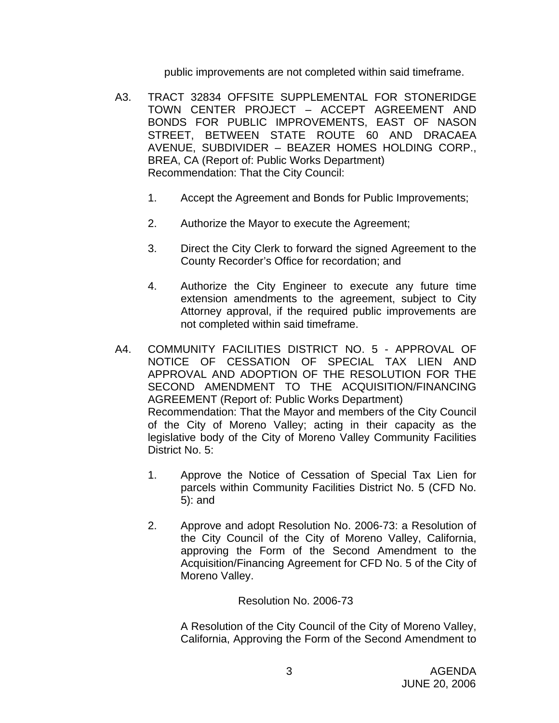public improvements are not completed within said timeframe.

- A3. TRACT 32834 OFFSITE SUPPLEMENTAL FOR STONERIDGE TOWN CENTER PROJECT – ACCEPT AGREEMENT AND BONDS FOR PUBLIC IMPROVEMENTS, EAST OF NASON STREET, BETWEEN STATE ROUTE 60 AND DRACAEA AVENUE, SUBDIVIDER – BEAZER HOMES HOLDING CORP., BREA, CA (Report of: Public Works Department) Recommendation: That the City Council:
	- 1. Accept the Agreement and Bonds for Public Improvements;
	- 2. Authorize the Mayor to execute the Agreement;
	- 3. Direct the City Clerk to forward the signed Agreement to the County Recorder's Office for recordation; and
	- 4. Authorize the City Engineer to execute any future time extension amendments to the agreement, subject to City Attorney approval, if the required public improvements are not completed within said timeframe.
- A4. COMMUNITY FACILITIES DISTRICT NO. 5 APPROVAL OF NOTICE OF CESSATION OF SPECIAL TAX LIEN AND APPROVAL AND ADOPTION OF THE RESOLUTION FOR THE SECOND AMENDMENT TO THE ACQUISITION/FINANCING AGREEMENT (Report of: Public Works Department) Recommendation: That the Mayor and members of the City Council of the City of Moreno Valley; acting in their capacity as the legislative body of the City of Moreno Valley Community Facilities District No. 5:
	- 1. Approve the Notice of Cessation of Special Tax Lien for parcels within Community Facilities District No. 5 (CFD No. 5): and
	- 2. Approve and adopt Resolution No. 2006-73: a Resolution of the City Council of the City of Moreno Valley, California, approving the Form of the Second Amendment to the Acquisition/Financing Agreement for CFD No. 5 of the City of Moreno Valley.

Resolution No. 2006-73

A Resolution of the City Council of the City of Moreno Valley, California, Approving the Form of the Second Amendment to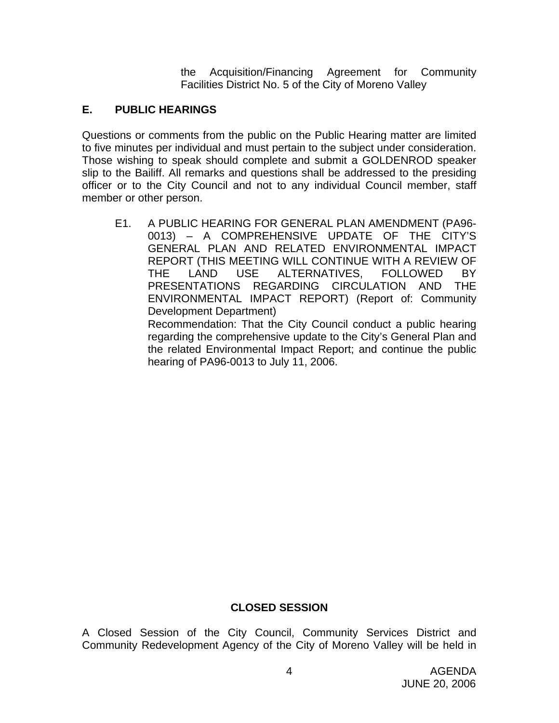the Acquisition/Financing Agreement for Community Facilities District No. 5 of the City of Moreno Valley

# **E. PUBLIC HEARINGS**

Questions or comments from the public on the Public Hearing matter are limited to five minutes per individual and must pertain to the subject under consideration. Those wishing to speak should complete and submit a GOLDENROD speaker slip to the Bailiff. All remarks and questions shall be addressed to the presiding officer or to the City Council and not to any individual Council member, staff member or other person.

E1. A PUBLIC HEARING FOR GENERAL PLAN AMENDMENT (PA96- 0013) – A COMPREHENSIVE UPDATE OF THE CITY'S GENERAL PLAN AND RELATED ENVIRONMENTAL IMPACT REPORT (THIS MEETING WILL CONTINUE WITH A REVIEW OF THE LAND USE ALTERNATIVES, FOLLOWED BY PRESENTATIONS REGARDING CIRCULATION AND THE ENVIRONMENTAL IMPACT REPORT) (Report of: Community Development Department) Recommendation: That the City Council conduct a public hearing

regarding the comprehensive update to the City's General Plan and the related Environmental Impact Report; and continue the public hearing of PA96-0013 to July 11, 2006.

# **CLOSED SESSION**

A Closed Session of the City Council, Community Services District and Community Redevelopment Agency of the City of Moreno Valley will be held in